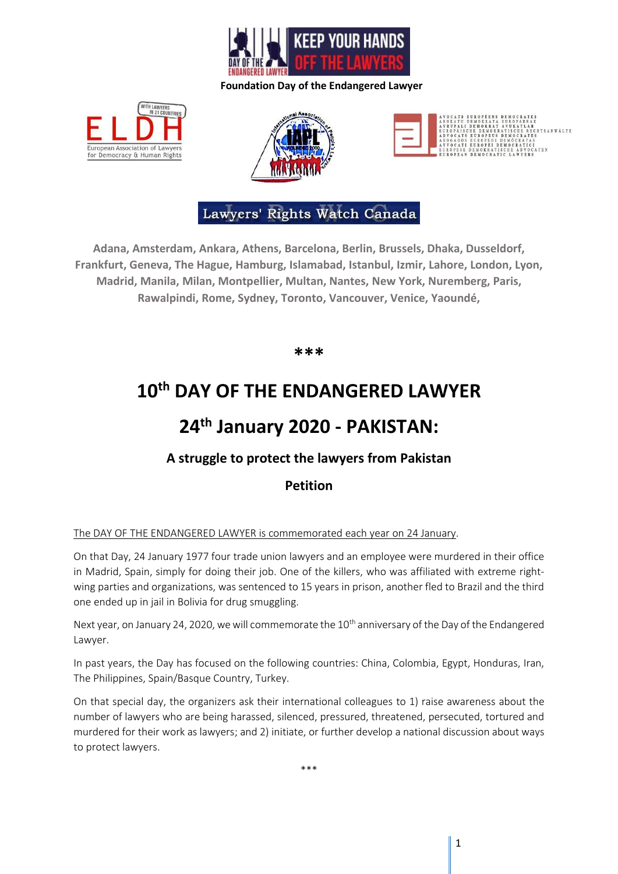

European Association of for Democracy & Human Rights





# Lawyers' Rights Watch Canada

**Adana, Amsterdam, Ankara, Athens, Barcelona, Berlin, Brussels, Dhaka, Dusseldorf, Frankfurt, Geneva, The Hague, Hamburg, Islamabad, Istanbul, Izmir, Lahore, London, Lyon, Madrid, Manila, Milan, Montpellier, Multan, Nantes, New York, Nuremberg, Paris, Rawalpindi, Rome, Sydney, Toronto, Vancouver, Venice, Yaoundé,**

**\*\*\***

# **10th DAY OF THE ENDANGERED LAWYER**

# **24th January 2020 - PAKISTAN:**

## **A struggle to protect the lawyers from Pakistan**

## **Petition**

### The DAY OF THE ENDANGERED LAWYER is commemorated each year on 24 January.

On that Day, 24 January 1977 four trade union lawyers and an employee were murdered in their office in Madrid, Spain, simply for doing their job. One of the killers, who was affiliated with extreme rightwing parties and organizations, was sentenced to 15 years in prison, another fled to Brazil and the third one ended up in jail in Bolivia for drug smuggling.

Next year, on January 24, 2020, we will commemorate the 10<sup>th</sup> anniversary of the Day of the Endangered Lawyer.

In past years, the Day has focused on the following countries: China, Colombia, Egypt, Honduras, Iran, The Philippines, Spain/Basque Country, Turkey.

On that special day, the organizers ask their international colleagues to 1) raise awareness about the number of lawyers who are being harassed, silenced, pressured, threatened, persecuted, tortured and murdered for their work as lawyers; and 2) initiate, or further develop a national discussion about ways to protect lawyers.

\*\*\*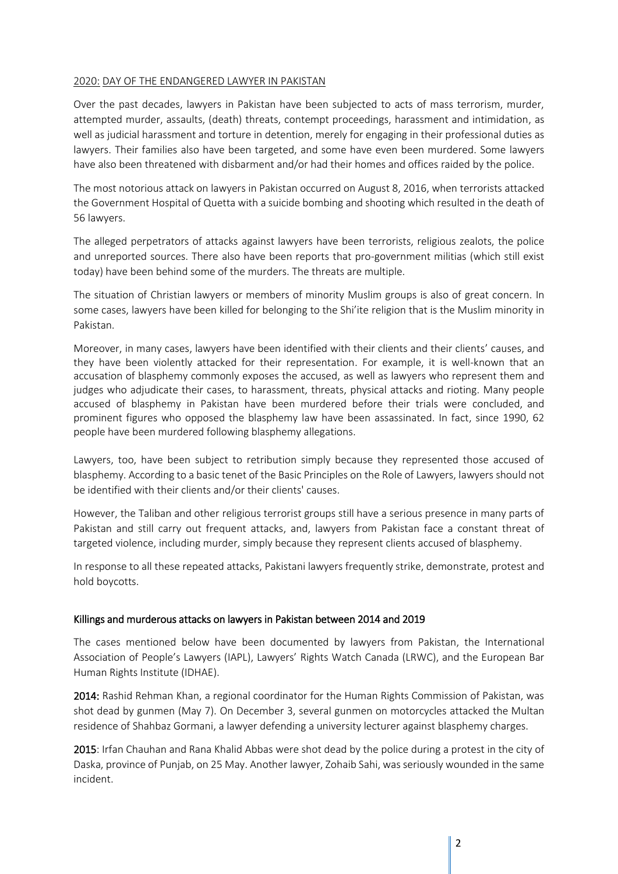### 2020: DAY OF THE ENDANGERED LAWYER IN PAKISTAN

Over the past decades, lawyers in Pakistan have been subjected to acts of mass terrorism, murder, attempted murder, assaults, (death) threats, contempt proceedings, harassment and intimidation, as well as judicial harassment and torture in detention, merely for engaging in their professional duties as lawyers. Their families also have been targeted, and some have even been murdered. Some lawyers have also been threatened with disbarment and/or had their homes and offices raided by the police.

The most notorious attack on lawyers in Pakistan occurred on August 8, 2016, when terrorists attacked the Government Hospital of Quetta with a suicide bombing and shooting which resulted in the death of 56 lawyers.

The alleged perpetrators of attacks against lawyers have been terrorists, religious zealots, the police and unreported sources. There also have been reports that pro-government militias (which still exist today) have been behind some of the murders. The threats are multiple.

The situation of Christian lawyers or members of minority Muslim groups is also of great concern. In some cases, lawyers have been killed for belonging to the Shi'ite religion that is the Muslim minority in Pakistan.

Moreover, in many cases, lawyers have been identified with their clients and their clients' causes, and they have been violently attacked for their representation. For example, it is well-known that an accusation of blasphemy commonly exposes the accused, as well as lawyers who represent them and judges who adjudicate their cases, to harassment, threats, physical attacks and rioting. Many people accused of blasphemy in Pakistan have been murdered before their trials were concluded, and prominent figures who opposed the blasphemy law have been assassinated. In fact, since 1990, 62 people have been murdered following blasphemy allegations.

Lawyers, too, have been subject to retribution simply because they represented those accused of blasphemy. According to a basic tenet of the Basic Principles on the Role of Lawyers, lawyers should not be identified with their clients and/or their clients' causes.

However, the Taliban and other religious terrorist groups still have a serious presence in many parts of Pakistan and still carry out frequent attacks, and, lawyers from Pakistan face a constant threat of targeted violence, including murder, simply because they represent clients accused of blasphemy.

In response to all these repeated attacks, Pakistani lawyers frequently strike, demonstrate, protest and hold boycotts.

#### Killings and murderous attacks on lawyers in Pakistan between 2014 and 2019

The cases mentioned below have been documented by lawyers from Pakistan, the International Association of People's Lawyers (IAPL), Lawyers' Rights Watch Canada (LRWC), and the European Bar Human Rights Institute (IDHAE).

2014: Rashid Rehman Khan, a regional coordinator for the Human Rights Commission of Pakistan, was shot dead by gunmen (May 7). On December 3, several gunmen on motorcycles attacked the Multan residence of Shahbaz Gormani, a lawyer defending a university lecturer against blasphemy charges.

2015: Irfan Chauhan and Rana Khalid Abbas were shot dead by the police during a protest in the city of Daska, province of Punjab, on 25 May. Another lawyer, Zohaib Sahi, was seriously wounded in the same incident.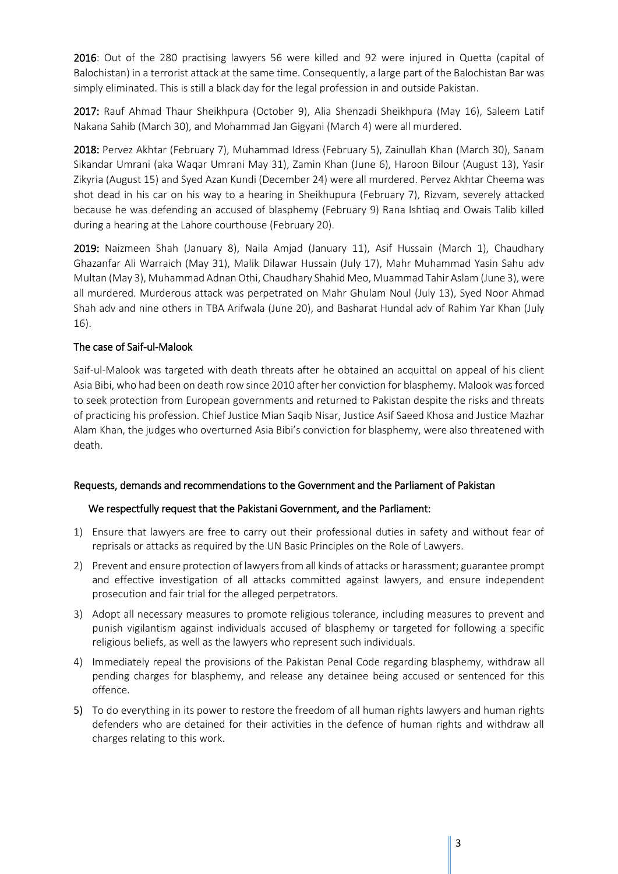2016: Out of the 280 practising lawyers 56 were killed and 92 were injured in Quetta (capital of Balochistan) in a terrorist attack at the same time. Consequently, a large part of the Balochistan Bar was simply eliminated. This is still a black day for the legal profession in and outside Pakistan.

2017: Rauf Ahmad Thaur Sheikhpura (October 9), Alia Shenzadi Sheikhpura (May 16), Saleem Latif Nakana Sahib (March 30), and Mohammad Jan Gigyani (March 4) were all murdered.

2018: Pervez Akhtar (February 7), Muhammad Idress (February 5), Zainullah Khan (March 30), Sanam Sikandar Umrani (aka Waqar Umrani May 31), Zamin Khan (June 6), Haroon Bilour (August 13), Yasir Zikyria (August 15) and Syed Azan Kundi (December 24) were all murdered. Pervez Akhtar Cheema was shot dead in his car on his way to a hearing in Sheikhupura (February 7), Rizvam, severely attacked because he was defending an accused of blasphemy (February 9) Rana Ishtiaq and Owais Talib killed during a hearing at the Lahore courthouse (February 20).

2019: Naizmeen Shah (January 8), Naila Amjad (January 11), Asif Hussain (March 1), Chaudhary Ghazanfar Ali Warraich (May 31), Malik Dilawar Hussain (July 17), Mahr Muhammad Yasin Sahu adv Multan (May 3), Muhammad Adnan Othi, Chaudhary Shahid Meo, Muammad Tahir Aslam (June 3), were all murdered. Murderous attack was perpetrated on Mahr Ghulam Noul (July 13), Syed Noor Ahmad Shah adv and nine others in TBA Arifwala (June 20), and Basharat Hundal adv of Rahim Yar Khan (July 16).

### The case of Saif-ul-Malook

Saif-ul-Malook was targeted with death threats after he obtained an acquittal on appeal of his client Asia Bibi, who had been on death row since 2010 after her conviction for blasphemy. Malook was forced to seek protection from European governments and returned to Pakistan despite the risks and threats of practicing his profession. Chief Justice Mian Saqib Nisar, Justice Asif Saeed Khosa and Justice Mazhar Alam Khan, the judges who overturned Asia Bibi's conviction for blasphemy, were also threatened with death.

#### Requests, demands and recommendations to the Government and the Parliament of Pakistan

#### We respectfully request that the Pakistani Government, and the Parliament:

- 1) Ensure that lawyers are free to carry out their professional duties in safety and without fear of reprisals or attacks as required by the UN Basic Principles on the Role of Lawyers.
- 2) Prevent and ensure protection of lawyers from all kinds of attacks or harassment; guarantee prompt and effective investigation of all attacks committed against lawyers, and ensure independent prosecution and fair trial for the alleged perpetrators.
- 3) Adopt all necessary measures to promote religious tolerance, including measures to prevent and punish vigilantism against individuals accused of blasphemy or targeted for following a specific religious beliefs, as well as the lawyers who represent such individuals.
- 4) Immediately repeal the provisions of the Pakistan Penal Code regarding blasphemy, withdraw all pending charges for blasphemy, and release any detainee being accused or sentenced for this offence.
- 5) To do everything in its power to restore the freedom of all human rights lawyers and human rights defenders who are detained for their activities in the defence of human rights and withdraw all charges relating to this work.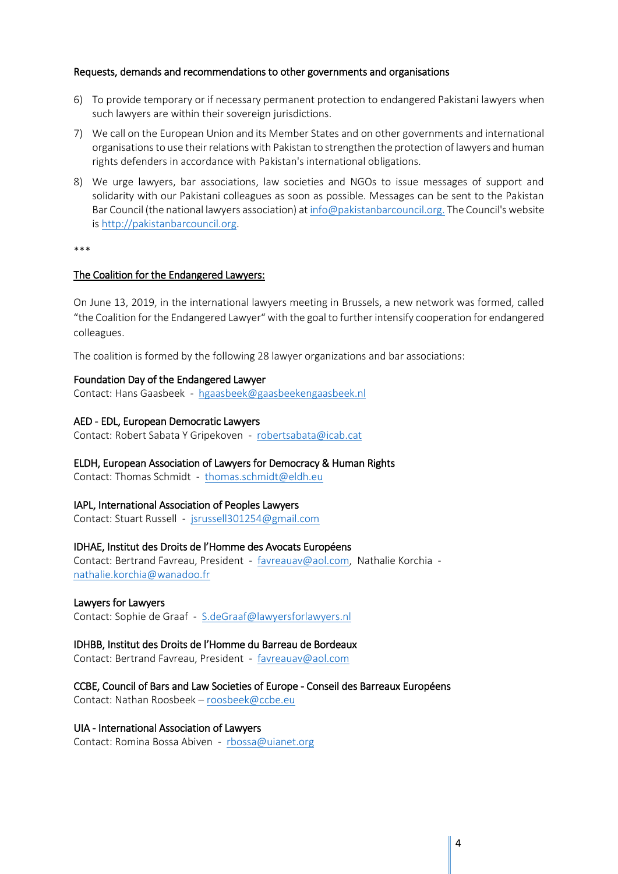#### Requests, demands and recommendations to other governments and organisations

- 6) To provide temporary or if necessary permanent protection to endangered Pakistani lawyers when such lawyers are within their sovereign jurisdictions.
- 7) We call on the European Union and its Member States and on other governments and international organisations to use their relations with Pakistan to strengthen the protection of lawyers and human rights defenders in accordance with Pakistan's international obligations.
- 8) We urge lawyers, bar associations, law societies and NGOs to issue messages of support and solidarity with our Pakistani colleagues as soon as possible. Messages can be sent to the Pakistan Bar Council (the national lawyers association) a[t info@pakistanbarcouncil.org.](mailto:info@pakistanbarcouncil.org) The Council's website is [http://pakistanbarcouncil.org.](http://pakistanbarcouncil.org/)

\*\*\*

#### The Coalition for the Endangered Lawyers:

On June 13, 2019, in the international lawyers meeting in Brussels, a new network was formed, called "the Coalition for the Endangered Lawyer" with the goal to further intensify cooperation for endangered colleagues.

The coalition is formed by the following 28 lawyer organizations and bar associations:

#### Foundation Day of the Endangered Lawyer

Contact: Hans Gaasbeek - [hgaasbeek@gaasbeekengaasbeek.nl](mailto:hgaasbeek@gaasbeekengaasbeek.nl)

#### AED - EDL, European Democratic Lawyers

Contact: Robert Sabata Y Gripekoven - [robertsabata@icab.cat](mailto:robertsabata@icab.cat)

#### ELDH, European Association of Lawyers for Democracy & Human Rights

Contact: Thomas Schmidt - [thomas.schmidt@eldh.eu](mailto:thomas.schmidt@eldh.eu)

#### IAPL, International Association of Peoples Lawyers

Contact: Stuart Russell - [jsrussell301254@gmail.com](mailto:jsrussell301254@gmail.com)

#### IDHAE, Institut des Droits de l'Homme des Avocats Européens

Contact: Bertrand Favreau, President - [favreauav@aol.com,](mailto:favreauav@aol.com) Nathalie Korchia [nathalie.korchia@wanadoo.fr](mailto:nathalie.korchia@wanadoo.fr)

#### Lawyers for Lawyers

Contact: Sophie de Graaf - [S.deGraaf@lawyersforlawyers.nl](mailto:S.deGraaf@lawyersforlawyers.nl)

#### IDHBB, Institut des Droits de l'Homme du Barreau de Bordeaux

Contact: Bertrand Favreau, President - [favreauav@aol.com](mailto:favreauav@aol.com)

#### CCBE, Council of Bars and Law Societies of Europe - Conseil des Barreaux Européens

Contact: Nathan Roosbeek – [roosbeek@ccbe.eu](mailto:roosbeek@ccbe.eu)

#### UIA - International Association of Lawyers

Contact: Romina Bossa Abiven - [rbossa@uianet.org](mailto:rbossa@uianet.org)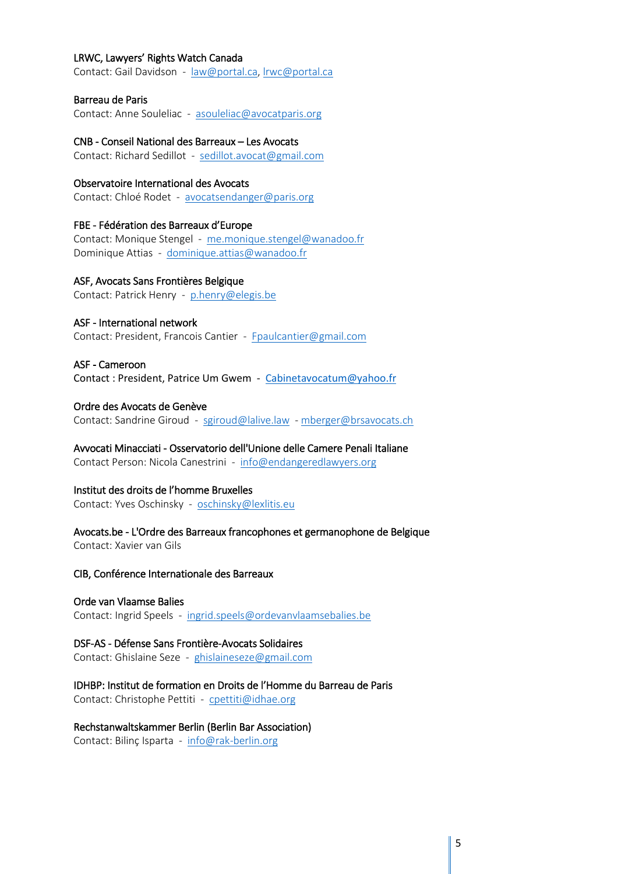#### LRWC, Lawyers' Rights Watch Canada

Contact: Gail Davidson - [law@portal.ca,](mailto:law@portal.ca) [lrwc@portal.ca](mailto:lrwc@portal.ca)

#### Barreau de Paris

Contact: Anne Souleliac - [asouleliac@avocatparis.org](mailto:asouleliac@avocatparis.org)

#### CNB - Conseil National des Barreaux – Les Avocats

Contact: Richard Sedillot - [sedillot.avocat@gmail.com](mailto:sedillot.avocat@gmail.com)

#### Observatoire International des Avocats

Contact: Chloé Rodet - [avocatsendanger@paris.org](mailto:avocatsendanger@paris.org)

#### FBE - Fédération des Barreaux d'Europe

Contact: Monique Stengel - [me.monique.stengel@wanadoo.fr](mailto:me.monique.stengel@wanadoo.fr) Dominique Attias - [dominique.attias@wanadoo.fr](mailto:dominique.attias@wanadoo.fr)

#### ASF, Avocats Sans Frontières Belgique

Contact: Patrick Henry - [p.henry@elegis.be](mailto:p.henry@elegis.be)

#### ASF - International network

Contact: President, Francois Cantier - [Fpaulcantier@gmail.com](mailto:Fpaulcantier@gmail.com)

#### ASF - Cameroon

Contact : President, Patrice Um Gwem - [Cabinetavocatum@yahoo.fr](mailto:Cabinetavocatum@yahoo.fr)

#### Ordre des Avocats de Genève

Contact: Sandrine Giroud - [sgiroud@lalive.law](mailto:sgiroud@lalive.law) - [mberger@brsavocats.ch](mailto:mberger@brsavocats.ch)

Avvocati Minacciati - Osservatorio dell'Unione delle Camere Penali Italiane Contact Person: Nicola Canestrini - [info@endangeredlawyers.org](mailto:info@endangeredlawyers.org)

### Institut des droits de l'homme Bruxelles

Contact: Yves Oschinsky - [oschinsky@lexlitis.eu](mailto:oschinsky@lexlitis.eu)

Avocats.be - L'Ordre des Barreaux francophones et germanophone de Belgique Contact: Xavier van Gils

#### CIB, Conférence Internationale des Barreaux

#### Orde van Vlaamse Balies

Contact: Ingrid Speels - [ingrid.speels@ordevanvlaamsebalies.be](mailto:ingrid.speels@ordevanvlaamsebalies.be)

#### DSF-AS - Défense Sans Frontière-Avocats Solidaires

Contact: Ghislaine Seze - [ghislaineseze@gmail.com](mailto:ghislaineseze@gmail.com)

### IDHBP: Institut de formation en Droits de l'Homme du Barreau de Paris

Contact: Christophe Pettiti - [cpettiti@idhae.org](mailto:cpettiti@idhae.org)

#### Rechstanwaltskammer Berlin (Berlin Bar Association)

Contact: Bilinç Isparta - [info@rak-berlin.org](mailto:info@rak-berlin.org)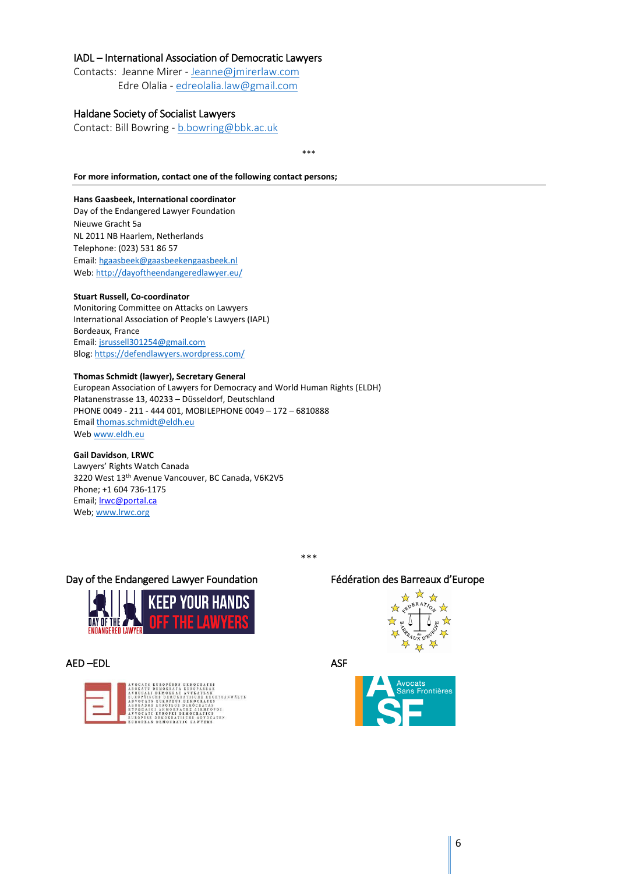#### IADL – International Association of Democratic Lawyers

Contacts: Jeanne Mirer - [Jeanne@jmirerlaw.com](mailto:Jeanne@jmirerlaw.com) Edre Olalia - [edreolalia.law@gmail.com](mailto:edreolalia.law@gmail.com)

#### Haldane Society of Socialist Lawyers

Contact: Bill Bowring - [b.bowring@bbk.ac.uk](mailto:b.bowring@bbk.ac.uk)

\*\*\*

#### **For more information, contact one of the following contact persons;**

#### **Hans Gaasbeek, International coordinator**

Day of the Endangered Lawyer Foundation Nieuwe Gracht 5a NL 2011 NB Haarlem, Netherlands Telephone: (023) 531 86 57 Email[: hgaasbeek@gaasbeekengaasbeek.nl](mailto:hgaasbeek@gaasbeekengaasbeek.nl) Web[: http://dayoftheendangeredlawyer.eu/](http://dayoftheendangeredlawyer.eu/)

#### **Stuart Russell, Co-coordinator**

Monitoring Committee on Attacks on Lawyers International Association of People's Lawyers (IAPL) Bordeaux, France Email[: jsrussell301254@gmail.com](mailto:jsrussell301254@gmail.com) Blog: <https://defendlawyers.wordpress.com/>

#### **Thomas Schmidt (lawyer), Secretary General**

European Association of Lawyers for Democracy and World Human Rights (ELDH) Platanenstrasse 13, 40233 – Düsseldorf, Deutschland PHONE 0049 - 211 - 444 001, MOBILEPHONE 0049 – 172 – 6810888 Emai[l thomas.schmidt@eldh.eu](mailto:thomas.schmidt@eldh.eu) We[b www.eldh.eu](http://www.eldh.eu/)

#### **Gail Davidson**, **LRWC**

Lawyers' Rights Watch Canada 3220 West 13th Avenue Vancouver, BC Canada, V6K2V5 Phone; +1 604 736-1175 Email; **Irwc@portal.ca** Web[; www.lrwc.org](http://www.lrwc.org/)

#### Day of the Endangered Lawyer Foundation Fédération des Barreaux d'Europe



AED –EDL ASF





\*\*\*

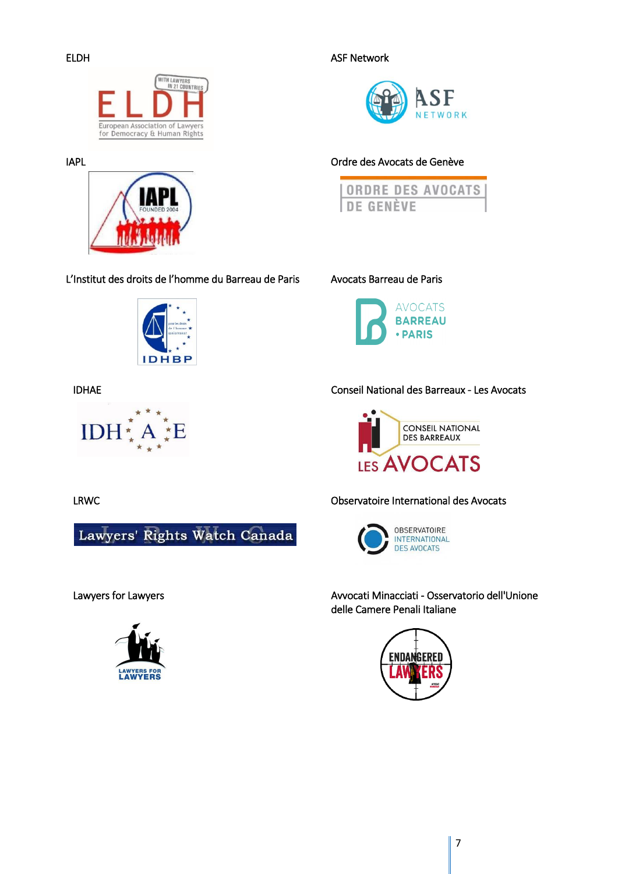

IAPL



L'Institut des droits de l'homme du Barreau de Paris Avocats Barreau de Paris



IDHAE



Lawyers' Rights Watch Canada



ELDH ASF Network



## Ordre des Avocats de Genève





## Conseil National des Barreaux - Les Avocats



## LRWC Observatoire International des Avocats



Lawyers for Lawyers Avvocati Minacciati - Osservatorio dell'Unione delle Camere Penali Italiane